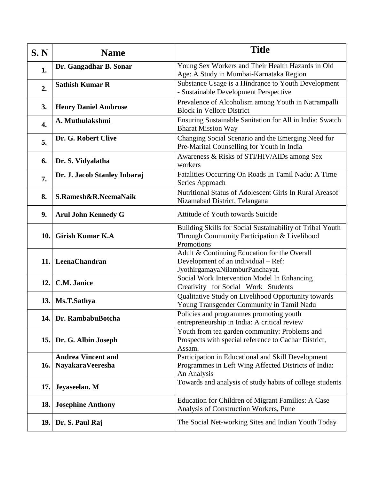| S.N | <b>Name</b>                                   | <b>Title</b>                                                                                                              |
|-----|-----------------------------------------------|---------------------------------------------------------------------------------------------------------------------------|
| 1.  | Dr. Gangadhar B. Sonar                        | Young Sex Workers and Their Health Hazards in Old<br>Age: A Study in Mumbai-Karnataka Region                              |
| 2.  | <b>Sathish Kumar R</b>                        | Substance Usage is a Hindrance to Youth Development<br>- Sustainable Development Perspective                              |
| 3.  | <b>Henry Daniel Ambrose</b>                   | Prevalence of Alcoholism among Youth in Natrampalli<br><b>Block in Vellore District</b>                                   |
| 4.  | A. Muthulakshmi                               | Ensuring Sustainable Sanitation for All in India: Swatch<br><b>Bharat Mission Way</b>                                     |
| 5.  | Dr. G. Robert Clive                           | Changing Social Scenario and the Emerging Need for<br>Pre-Marital Counselling for Youth in India                          |
| 6.  | Dr. S. Vidyalatha                             | Awareness & Risks of STI/HIV/AIDs among Sex<br>workers                                                                    |
| 7.  | Dr. J. Jacob Stanley Inbaraj                  | Fatalities Occurring On Roads In Tamil Nadu: A Time<br>Series Approach                                                    |
| 8.  | S.Ramesh&R.NeemaNaik                          | Nutritional Status of Adolescent Girls In Rural Areasof<br>Nizamabad District, Telangana                                  |
| 9.  | <b>Arul John Kennedy G</b>                    | Attitude of Youth towards Suicide                                                                                         |
| 10. | <b>Girish Kumar K.A</b>                       | Building Skills for Social Sustainability of Tribal Youth<br>Through Community Participation & Livelihood<br>Promotions   |
|     | 11. LeenaChandran                             | Adult & Continuing Education for the Overall<br>Development of an individual - Ref:<br>JyothirgamayaNilamburPanchayat.    |
| 12. | C.M. Janice                                   | Social Work Intervention Model In Enhancing<br>Creativity for Social Work Students                                        |
| 13. | Ms.T.Sathya                                   | Qualitative Study on Livelihood Opportunity towards<br>Young Transgender Community in Tamil Nadu                          |
| 14. | Dr. RambabuBotcha                             | Policies and programmes promoting youth<br>entrepreneurship in India: A critical review                                   |
| 15. | Dr. G. Albin Joseph                           | Youth from tea garden community: Problems and<br>Prospects with special reference to Cachar District,<br>Assam.           |
| 16. | <b>Andrea Vincent and</b><br>NayakaraVeeresha | Participation in Educational and Skill Development<br>Programmes in Left Wing Affected Districts of India:<br>An Analysis |
| 17. | Jeyaseelan. M                                 | Towards and analysis of study habits of college students                                                                  |
| 18. | <b>Josephine Anthony</b>                      | Education for Children of Migrant Families: A Case<br>Analysis of Construction Workers, Pune                              |
| 19. | Dr. S. Paul Raj                               | The Social Net-working Sites and Indian Youth Today                                                                       |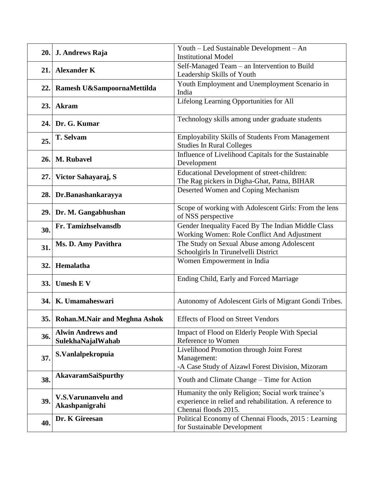| 20. | J. Andrews Raja                               | Youth – Led Sustainable Development – An<br><b>Institutional Model</b>                                                               |
|-----|-----------------------------------------------|--------------------------------------------------------------------------------------------------------------------------------------|
| 21. | <b>Alexander K</b>                            | Self-Managed Team - an Intervention to Build<br>Leadership Skills of Youth                                                           |
| 22. | Ramesh U&SampoornaMettilda                    | Youth Employment and Unemployment Scenario in<br>India                                                                               |
| 23. | <b>Akram</b>                                  | Lifelong Learning Opportunities for All                                                                                              |
|     | 24. Dr. G. Kumar                              | Technology skills among under graduate students                                                                                      |
| 25. | T. Selvam                                     | Employability Skills of Students From Management<br><b>Studies In Rural Colleges</b>                                                 |
| 26. | <b>M. Rubavel</b>                             | Influence of Livelihood Capitals for the Sustainable<br>Development                                                                  |
| 27. | Victor Sahayaraj, S                           | Educational Development of street-children:<br>The Rag pickers in Digha-Ghat, Patna, BIHAR                                           |
| 28. | Dr.Banashankarayya                            | Deserted Women and Coping Mechanism                                                                                                  |
| 29. | Dr. M. Gangabhushan                           | Scope of working with Adolescent Girls: From the lens<br>of NSS perspective                                                          |
| 30. | Fr. Tamizhselvansdb                           | Gender Inequality Faced By The Indian Middle Class<br>Working Women: Role Conflict And Adjustment                                    |
| 31. | Ms. D. Amy Pavithra                           | The Study on Sexual Abuse among Adolescent<br>Schoolgirls In Tirunelvelli District                                                   |
| 32. | Hemalatha                                     | Women Empowerment in India                                                                                                           |
| 33. | <b>Umesh E V</b>                              | Ending Child, Early and Forced Marriage                                                                                              |
| 34. | K. Umamaheswari                               | Autonomy of Adolescent Girls of Migrant Gondi Tribes.                                                                                |
| 35. | Rohan.M.Nair and Meghna Ashok                 | <b>Effects of Flood on Street Vendors</b>                                                                                            |
| 36. | <b>Alwin Andrews and</b><br>SulekhaNajalWahab | Impact of Flood on Elderly People With Special<br>Reference to Women                                                                 |
| 37. | S.Vanlalpekropuia                             | Livelihood Promotion through Joint Forest<br>Management:<br>-A Case Study of Aizawl Forest Division, Mizoram                         |
| 38. | <b>AkavaramSaiSpurthy</b>                     | Youth and Climate Change – Time for Action                                                                                           |
| 39. | V.S.Varunanvelu and<br>Akashpanigrahi         | Humanity the only Religion; Social work trainee's<br>experience in relief and rehabilitation. A reference to<br>Chennai floods 2015. |
| 40. | Dr. K Gireesan                                | Political Economy of Chennai Floods, 2015 : Learning<br>for Sustainable Development                                                  |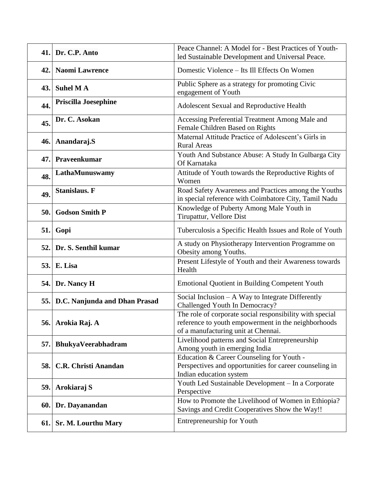|      | 41. Dr. C.P. Anto             | Peace Channel: A Model for - Best Practices of Youth-<br>led Sustainable Development and Universal Peace.                                              |
|------|-------------------------------|--------------------------------------------------------------------------------------------------------------------------------------------------------|
| 42.  | <b>Naomi Lawrence</b>         | Domestic Violence – Its Ill Effects On Women                                                                                                           |
| 43.  | <b>Suhel MA</b>               | Public Sphere as a strategy for promoting Civic<br>engagement of Youth                                                                                 |
| 44.  | Priscilla Joesephine          | Adolescent Sexual and Reproductive Health                                                                                                              |
| 45.  | Dr. C. Asokan                 | Accessing Preferential Treatment Among Male and<br>Female Children Based on Rights                                                                     |
| 46.  | Anandaraj.S                   | Maternal Attitude Practice of Adolescent's Girls in<br><b>Rural Areas</b>                                                                              |
| 47.  | Praveenkumar                  | Youth And Substance Abuse: A Study In Gulbarga City<br>Of Karnataka                                                                                    |
| 48.  | LathaMunuswamy                | Attitude of Youth towards the Reproductive Rights of<br>Women                                                                                          |
| 49.  | <b>Stanislaus. F</b>          | Road Safety Awareness and Practices among the Youths<br>in special reference with Coimbatore City, Tamil Nadu                                          |
| 50.  | <b>Godson Smith P</b>         | Knowledge of Puberty Among Male Youth in<br>Tirupattur, Vellore Dist                                                                                   |
| 51.  | Gopi                          | Tuberculosis a Specific Health Issues and Role of Youth                                                                                                |
| 52.  | Dr. S. Senthil kumar          | A study on Physiotherapy Intervention Programme on<br>Obesity among Youths.                                                                            |
| 53.1 | E. Lisa                       | Present Lifestyle of Youth and their Awareness towards<br>Health                                                                                       |
| 54.  | Dr. Nancy H                   | <b>Emotional Quotient in Building Competent Youth</b>                                                                                                  |
| 55.  | D.C. Nanjunda and Dhan Prasad | Social Inclusion - A Way to Integrate Differently<br>Challenged Youth In Democracy?                                                                    |
| 56.  | Arokia Raj. A                 | The role of corporate social responsibility with special<br>reference to youth empowerment in the neighborhoods<br>of a manufacturing unit at Chennai. |
| 57.  | BhukyaVeerabhadram            | Livelihood patterns and Social Entrepreneurship<br>Among youth in emerging India                                                                       |
| 58.  | <b>C.R. Christi Anandan</b>   | Education & Career Counseling for Youth -<br>Perspectives and opportunities for career counseling in<br>Indian education system                        |
| 59.  | Arokiaraj S                   | Youth Led Sustainable Development - In a Corporate<br>Perspective                                                                                      |
| 60.  | Dr. Dayanandan                | How to Promote the Livelihood of Women in Ethiopia?<br>Savings and Credit Cooperatives Show the Way!!                                                  |
| 61.  | <b>Sr. M. Lourthu Mary</b>    | Entrepreneurship for Youth                                                                                                                             |